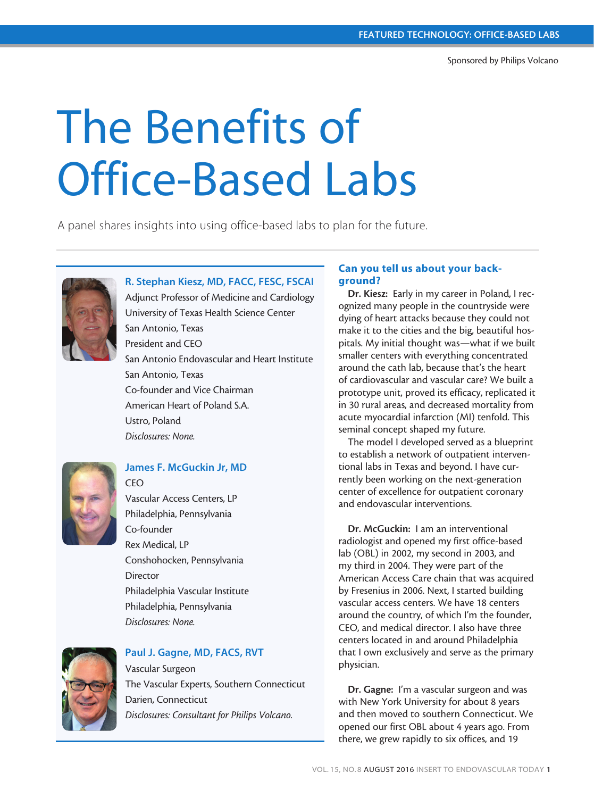# The Benefits of Office-Based Labs

A panel shares insights into using office-based labs to plan for the future.



# R. Stephan Kiesz, MD, FACC, FESC, FSCAI

Adjunct Professor of Medicine and Cardiology University of Texas Health Science Center San Antonio, Texas President and CEO San Antonio Endovascular and Heart Institute San Antonio, Texas Co-founder and Vice Chairman American Heart of Poland S.A. Ustro, Poland *Disclosures: None.*



# James F. McGuckin Jr, MD

CEO Vascular Access Centers, LP Philadelphia, Pennsylvania Co-founder Rex Medical, LP Conshohocken, Pennsylvania Director Philadelphia Vascular Institute Philadelphia, Pennsylvania *Disclosures: None.*



# Paul J. Gagne, MD, FACS, RVT

Vascular Surgeon The Vascular Experts, Southern Connecticut Darien, Connecticut *Disclosures: Consultant for Philips Volcano.*

# Can you tell us about your background?

Dr. Kiesz: Early in my career in Poland, I recognized many people in the countryside were dying of heart attacks because they could not make it to the cities and the big, beautiful hospitals. My initial thought was—what if we built smaller centers with everything concentrated around the cath lab, because that's the heart of cardiovascular and vascular care? We built a prototype unit, proved its efficacy, replicated it in 30 rural areas, and decreased mortality from acute myocardial infarction (MI) tenfold. This seminal concept shaped my future.

The model I developed served as a blueprint to establish a network of outpatient interventional labs in Texas and beyond. I have currently been working on the next-generation center of excellence for outpatient coronary and endovascular interventions.

Dr. McGuckin: I am an interventional radiologist and opened my first office-based lab (OBL) in 2002, my second in 2003, and my third in 2004. They were part of the American Access Care chain that was acquired by Fresenius in 2006. Next, I started building vascular access centers. We have 18 centers around the country, of which I'm the founder, CEO, and medical director. I also have three centers located in and around Philadelphia that I own exclusively and serve as the primary physician.

Dr. Gagne: I'm a vascular surgeon and was with New York University for about 8 years and then moved to southern Connecticut. We opened our first OBL about 4 years ago. From there, we grew rapidly to six offices, and 19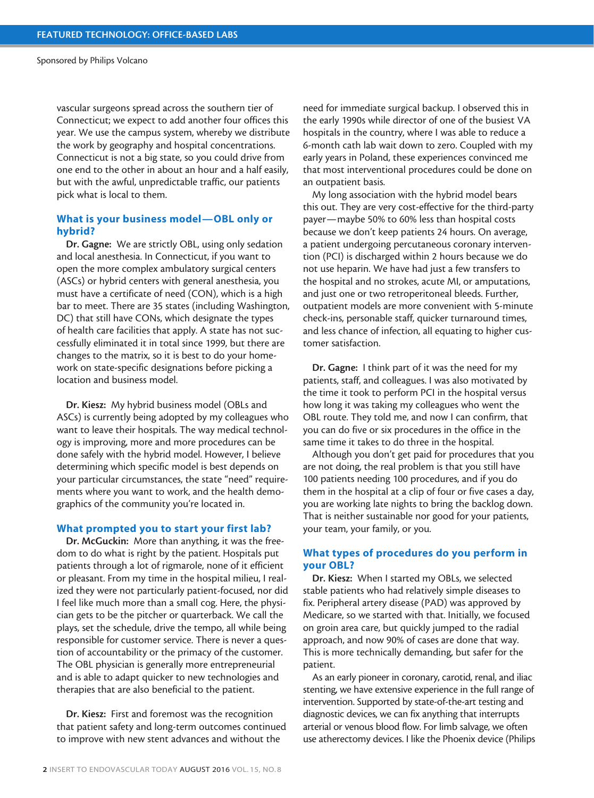Sponsored by Philips Volcano

vascular surgeons spread across the southern tier of Connecticut; we expect to add another four offices this year. We use the campus system, whereby we distribute the work by geography and hospital concentrations. Connecticut is not a big state, so you could drive from one end to the other in about an hour and a half easily, but with the awful, unpredictable traffic, our patients pick what is local to them.

# What is your business model—OBL only or hybrid?

Dr. Gagne: We are strictly OBL, using only sedation and local anesthesia. In Connecticut, if you want to open the more complex ambulatory surgical centers (ASCs) or hybrid centers with general anesthesia, you must have a certificate of need (CON), which is a high bar to meet. There are 35 states (including Washington, DC) that still have CONs, which designate the types of health care facilities that apply. A state has not successfully eliminated it in total since 1999, but there are changes to the matrix, so it is best to do your homework on state-specific designations before picking a location and business model.

Dr. Kiesz: My hybrid business model (OBLs and ASCs) is currently being adopted by my colleagues who want to leave their hospitals. The way medical technology is improving, more and more procedures can be done safely with the hybrid model. However, I believe determining which specific model is best depends on your particular circumstances, the state "need" requirements where you want to work, and the health demographics of the community you're located in.

#### What prompted you to start your first lab?

Dr. McGuckin: More than anything, it was the freedom to do what is right by the patient. Hospitals put patients through a lot of rigmarole, none of it efficient or pleasant. From my time in the hospital milieu, I realized they were not particularly patient-focused, nor did I feel like much more than a small cog. Here, the physician gets to be the pitcher or quarterback. We call the plays, set the schedule, drive the tempo, all while being responsible for customer service. There is never a question of accountability or the primacy of the customer. The OBL physician is generally more entrepreneurial and is able to adapt quicker to new technologies and therapies that are also beneficial to the patient.

Dr. Kiesz: First and foremost was the recognition that patient safety and long-term outcomes continued to improve with new stent advances and without the

need for immediate surgical backup. I observed this in the early 1990s while director of one of the busiest VA hospitals in the country, where I was able to reduce a 6-month cath lab wait down to zero. Coupled with my early years in Poland, these experiences convinced me that most interventional procedures could be done on an outpatient basis.

My long association with the hybrid model bears this out. They are very cost-effective for the third-party payer—maybe 50% to 60% less than hospital costs because we don't keep patients 24 hours. On average, a patient undergoing percutaneous coronary intervention (PCI) is discharged within 2 hours because we do not use heparin. We have had just a few transfers to the hospital and no strokes, acute MI, or amputations, and just one or two retroperitoneal bleeds. Further, outpatient models are more convenient with 5-minute check-ins, personable staff, quicker turnaround times, and less chance of infection, all equating to higher customer satisfaction.

Dr. Gagne: I think part of it was the need for my patients, staff, and colleagues. I was also motivated by the time it took to perform PCI in the hospital versus how long it was taking my colleagues who went the OBL route. They told me, and now I can confirm, that you can do five or six procedures in the office in the same time it takes to do three in the hospital.

Although you don't get paid for procedures that you are not doing, the real problem is that you still have 100 patients needing 100 procedures, and if you do them in the hospital at a clip of four or five cases a day, you are working late nights to bring the backlog down. That is neither sustainable nor good for your patients, your team, your family, or you.

# What types of procedures do you perform in your OBL?

Dr. Kiesz: When I started my OBLs, we selected stable patients who had relatively simple diseases to fix. Peripheral artery disease (PAD) was approved by Medicare, so we started with that. Initially, we focused on groin area care, but quickly jumped to the radial approach, and now 90% of cases are done that way. This is more technically demanding, but safer for the patient.

As an early pioneer in coronary, carotid, renal, and iliac stenting, we have extensive experience in the full range of intervention. Supported by state-of-the-art testing and diagnostic devices, we can fix anything that interrupts arterial or venous blood flow. For limb salvage, we often use atherectomy devices. I like the Phoenix device (Philips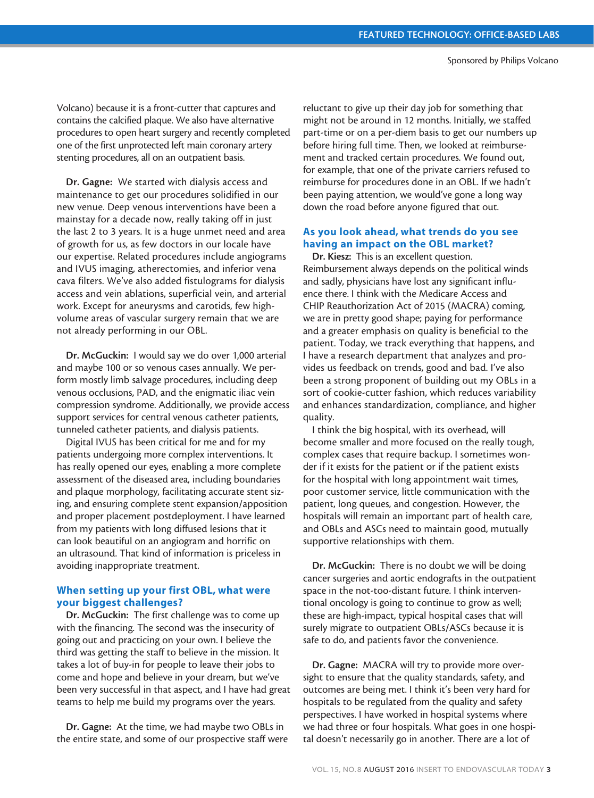Volcano) because it is a front-cutter that captures and contains the calcified plaque. We also have alternative procedures to open heart surgery and recently completed one of the first unprotected left main coronary artery stenting procedures, all on an outpatient basis.

Dr. Gagne: We started with dialysis access and maintenance to get our procedures solidified in our new venue. Deep venous interventions have been a mainstay for a decade now, really taking off in just the last 2 to 3 years. It is a huge unmet need and area of growth for us, as few doctors in our locale have our expertise. Related procedures include angiograms and IVUS imaging, atherectomies, and inferior vena cava filters. We've also added fistulograms for dialysis access and vein ablations, superficial vein, and arterial work. Except for aneurysms and carotids, few highvolume areas of vascular surgery remain that we are not already performing in our OBL.

Dr. McGuckin: I would say we do over 1,000 arterial and maybe 100 or so venous cases annually. We perform mostly limb salvage procedures, including deep venous occlusions, PAD, and the enigmatic iliac vein compression syndrome. Additionally, we provide access support services for central venous catheter patients, tunneled catheter patients, and dialysis patients.

Digital IVUS has been critical for me and for my patients undergoing more complex interventions. It has really opened our eyes, enabling a more complete assessment of the diseased area, including boundaries and plaque morphology, facilitating accurate stent sizing, and ensuring complete stent expansion/apposition and proper placement postdeployment. I have learned from my patients with long diffused lesions that it can look beautiful on an angiogram and horrific on an ultrasound. That kind of information is priceless in avoiding inappropriate treatment.

# When setting up your first OBL, what were your biggest challenges?

Dr. McGuckin: The first challenge was to come up with the financing. The second was the insecurity of going out and practicing on your own. I believe the third was getting the staff to believe in the mission. It takes a lot of buy-in for people to leave their jobs to come and hope and believe in your dream, but we've been very successful in that aspect, and I have had great teams to help me build my programs over the years.

Dr. Gagne: At the time, we had maybe two OBLs in the entire state, and some of our prospective staff were reluctant to give up their day job for something that might not be around in 12 months. Initially, we staffed part-time or on a per-diem basis to get our numbers up before hiring full time. Then, we looked at reimbursement and tracked certain procedures. We found out, for example, that one of the private carriers refused to reimburse for procedures done in an OBL. If we hadn't been paying attention, we would've gone a long way down the road before anyone figured that out.

# As you look ahead, what trends do you see having an impact on the OBL market?

Dr. Kiesz: This is an excellent question. Reimbursement always depends on the political winds and sadly, physicians have lost any significant influence there. I think with the Medicare Access and CHIP Reauthorization Act of 2015 (MACRA) coming, we are in pretty good shape; paying for performance and a greater emphasis on quality is beneficial to the patient. Today, we track everything that happens, and I have a research department that analyzes and provides us feedback on trends, good and bad. I've also been a strong proponent of building out my OBLs in a sort of cookie-cutter fashion, which reduces variability and enhances standardization, compliance, and higher quality.

I think the big hospital, with its overhead, will become smaller and more focused on the really tough, complex cases that require backup. I sometimes wonder if it exists for the patient or if the patient exists for the hospital with long appointment wait times, poor customer service, little communication with the patient, long queues, and congestion. However, the hospitals will remain an important part of health care, and OBLs and ASCs need to maintain good, mutually supportive relationships with them.

Dr. McGuckin: There is no doubt we will be doing cancer surgeries and aortic endografts in the outpatient space in the not-too-distant future. I think interventional oncology is going to continue to grow as well; these are high-impact, typical hospital cases that will surely migrate to outpatient OBLs/ASCs because it is safe to do, and patients favor the convenience.

Dr. Gagne: MACRA will try to provide more oversight to ensure that the quality standards, safety, and outcomes are being met. I think it's been very hard for hospitals to be regulated from the quality and safety perspectives. I have worked in hospital systems where we had three or four hospitals. What goes in one hospital doesn't necessarily go in another. There are a lot of